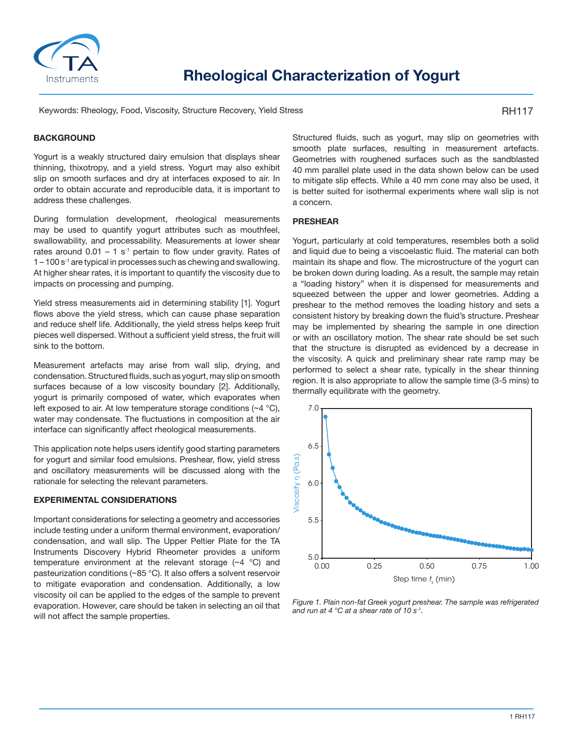

Keywords: Rheology, Food, Viscosity, Structure Recovery, Yield Stress

RH117

# **BACKGROUND**

Yogurt is a weakly structured dairy emulsion that displays shear thinning, thixotropy, and a yield stress. Yogurt may also exhibit slip on smooth surfaces and dry at interfaces exposed to air. In order to obtain accurate and reproducible data, it is important to address these challenges.

During formulation development, rheological measurements may be used to quantify yogurt attributes such as mouthfeel, swallowability, and processability. Measurements at lower shear rates around  $0.01 - 1$  s<sup>-1</sup> pertain to flow under gravity. Rates of  $1 - 100$  s<sup>-1</sup> are typical in processes such as chewing and swallowing. At higher shear rates, it is important to quantify the viscosity due to impacts on processing and pumping.

Yield stress measurements aid in determining stability [1]. Yogurt flows above the yield stress, which can cause phase separation and reduce shelf life. Additionally, the yield stress helps keep fruit pieces well dispersed. Without a sufficient yield stress, the fruit will sink to the bottom.

Measurement artefacts may arise from wall slip, drying, and condensation. Structured fluids, such as yogurt, may slip on smooth surfaces because of a low viscosity boundary [2]. Additionally, yogurt is primarily composed of water, which evaporates when left exposed to air. At low temperature storage conditions (~4 °C), water may condensate. The fluctuations in composition at the air interface can significantly affect rheological measurements.

This application note helps users identify good starting parameters for yogurt and similar food emulsions. Preshear, flow, yield stress and oscillatory measurements will be discussed along with the rationale for selecting the relevant parameters.

## **EXPERIMENTAL CONSIDERATIONS**

Important considerations for selecting a geometry and accessories include testing under a uniform thermal environment, evaporation/ condensation, and wall slip. The Upper Peltier Plate for the TA Instruments Discovery Hybrid Rheometer provides a uniform temperature environment at the relevant storage (~4 °C) and pasteurization conditions (~85 °C). It also offers a solvent reservoir to mitigate evaporation and condensation. Additionally, a low viscosity oil can be applied to the edges of the sample to prevent evaporation. However, care should be taken in selecting an oil that will not affect the sample properties.

Structured fluids, such as yogurt, may slip on geometries with smooth plate surfaces, resulting in measurement artefacts. Geometries with roughened surfaces such as the sandblasted 40 mm parallel plate used in the data shown below can be used to mitigate slip effects. While a 40 mm cone may also be used, it is better suited for isothermal experiments where wall slip is not a concern.

### **PRESHEAR**

Yogurt, particularly at cold temperatures, resembles both a solid and liquid due to being a viscoelastic fluid. The material can both maintain its shape and flow. The microstructure of the yogurt can be broken down during loading. As a result, the sample may retain a "loading history" when it is dispensed for measurements and squeezed between the upper and lower geometries. Adding a preshear to the method removes the loading history and sets a consistent history by breaking down the fluid's structure. Preshear may be implemented by shearing the sample in one direction or with an oscillatory motion. The shear rate should be set such that the structure is disrupted as evidenced by a decrease in the viscosity. A quick and preliminary shear rate ramp may be performed to select a shear rate, typically in the shear thinning region. It is also appropriate to allow the sample time (3-5 mins) to thermally equilibrate with the geometry.



*Figure 1. Plain non-fat Greek yogurt preshear. The sample was refrigerated*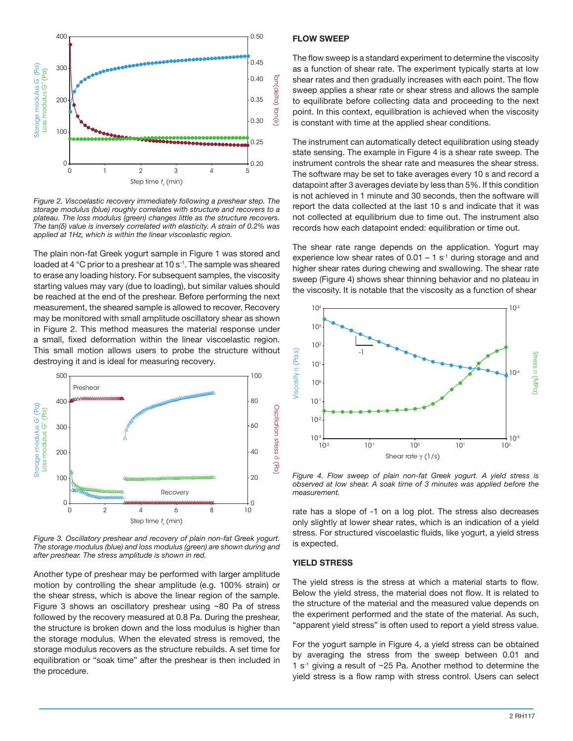

*Figure 2. Viscoelastic recovery immediately following a preshear step. The storage modulus (blue) roughly correlates with structure and recovers to a plateau. The loss modulus (green) changes little as the structure recovers. The tan(δ) value is inversely correlated with elasticity. A strain of 0.2% was applied at 1Hz, which is within the linear viscoelastic region.*

The plain non-fat Greek yogurt sample in Figure 1 was stored and loaded at 4 °C prior to a preshear at 10 s<sup>-1</sup>. The sample was sheared to erase any loading history. For subsequent samples, the viscosity starting values may vary (due to loading), but similar values should be reached at the end of the preshear. Before performing the next measurement, the sheared sample is allowed to recover. Recovery may be monitored with small amplitude oscillatory shear as shown in Figure 2. This method measures the material response under a small, fixed deformation within the linear viscoelastic region. This small motion allows users to probe the structure without destroying it and is ideal for measuring recovery.



*Figure 3. Oscillatory preshear and recovery of plain non-fat Greek yogurt. The storage modulus (blue) and loss modulus (green) are shown during and after preshear. The stress amplitude is shown in red.*

Another type of preshear may be performed with larger amplitude motion by controlling the shear amplitude (e.g. 100% strain) or the shear stress, which is above the linear region of the sample. Figure 3 shows an oscillatory preshear using ~80 Pa of stress followed by the recovery measured at 0.8 Pa. During the preshear, the structure is broken down and the loss modulus is higher than the storage modulus. When the elevated stress is removed, the storage modulus recovers as the structure rebuilds. A set time for equilibration or "soak time" after the preshear is then included in the procedure.

### **FLOW SWEEP**

The flow sweep is a standard experiment to determine the viscosity as a function of shear rate. The experiment typically starts at low shear rates and then gradually increases with each point. The flow sweep applies a shear rate or shear stress and allows the sample to equilibrate before collecting data and proceeding to the next point. In this context, equilibration is achieved when the viscosity is constant with time at the applied shear conditions.

The instrument can automatically detect equilibration using steady state sensing. The example in Figure 4 is a shear rate sweep. The instrument controls the shear rate and measures the shear stress. The software may be set to take averages every 10 s and record a datapoint after 3 averages deviate by less than 5%. If this condition is not achieved in 1 minute and 30 seconds, then the software will report the data collected at the last 10 s and indicate that it was not collected at equilibrium due to time out. The instrument also records how each datapoint ended: equilibration or time out.

The shear rate range depends on the application. Yogurt may experience low shear rates of  $0.01 - 1$  s<sup>-1</sup> during storage and and higher shear rates during chewing and swallowing. The shear rate sweep (Figure 4) shows shear thinning behavior and no plateau in the viscosity. It is notable that the viscosity as a function of shear



*Figure 4. Flow sweep of plain non-fat Greek yogurt. A yield stress is observed at low shear. A soak time of 3 minutes was applied before the measurement.*

rate has a slope of -1 on a log plot. The stress also decreases only slightly at lower shear rates, which is an indication of a yield stress. For structured viscoelastic fluids, like yogurt, a yield stress is expected.

### **YIELD STRESS**

The yield stress is the stress at which a material starts to flow. Below the yield stress, the material does not flow. It is related to the structure of the material and the measured value depends on the experiment performed and the state of the material. As such, "apparent yield stress" is often used to report a yield stress value.

For the yogurt sample in Figure 4, a yield stress can be obtained by averaging the stress from the sweep between 0.01 and 1  $s<sup>-1</sup>$  giving a result of  $\sim$ 25 Pa. Another method to determine the yield stress is a flow ramp with stress control. Users can select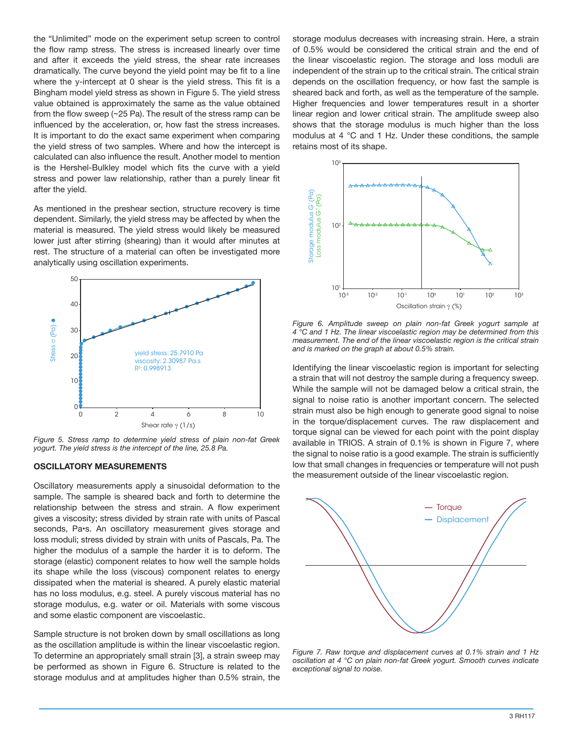the "Unlimited" mode on the experiment setup screen to control the flow ramp stress. The stress is increased linearly over time and after it exceeds the yield stress, the shear rate increases dramatically. The curve beyond the yield point may be fit to a line where the y-intercept at 0 shear is the yield stress. This fit is a Bingham model yield stress as shown in Figure 5. The yield stress value obtained is approximately the same as the value obtained from the flow sweep (~25 Pa). The result of the stress ramp can be influenced by the acceleration, or, how fast the stress increases. It is important to do the exact same experiment when comparing the yield stress of two samples. Where and how the intercept is calculated can also influence the result. Another model to mention is the Hershel-Bulkley model which fits the curve with a yield stress and power law relationship, rather than a purely linear fit after the yield.

As mentioned in the preshear section, structure recovery is time dependent. Similarly, the yield stress may be affected by when the material is measured. The yield stress would likely be measured lower just after stirring (shearing) than it would after minutes at rest. The structure of a material can often be investigated more analytically using oscillation experiments.



*Figure 5. Stress ramp to determine yield stress of plain non-fat Greek yogurt. The yield stress is the intercept of the line, 25.8 Pa.*

#### **OSCILLATORY MEASUREMENTS**

Oscillatory measurements apply a sinusoidal deformation to the sample. The sample is sheared back and forth to determine the relationship between the stress and strain. A flow experiment gives a viscosity; stress divided by strain rate with units of Pascal seconds, Pa•s. An oscillatory measurement gives storage and loss moduli; stress divided by strain with units of Pascals, Pa. The higher the modulus of a sample the harder it is to deform. The storage (elastic) component relates to how well the sample holds its shape while the loss (viscous) component relates to energy dissipated when the material is sheared. A purely elastic material has no loss modulus, e.g. steel. A purely viscous material has no storage modulus, e.g. water or oil. Materials with some viscous and some elastic component are viscoelastic.

Sample structure is not broken down by small oscillations as long as the oscillation amplitude is within the linear viscoelastic region. To determine an appropriately small strain [3], a strain sweep may be performed as shown in Figure 6. Structure is related to the storage modulus and at amplitudes higher than 0.5% strain, the

storage modulus decreases with increasing strain. Here, a strain of 0.5% would be considered the critical strain and the end of the linear viscoelastic region. The storage and loss moduli are independent of the strain up to the critical strain. The critical strain depends on the oscillation frequency, or how fast the sample is sheared back and forth, as well as the temperature of the sample. Higher frequencies and lower temperatures result in a shorter linear region and lower critical strain. The amplitude sweep also shows that the storage modulus is much higher than the loss modulus at 4 °C and 1 Hz. Under these conditions, the sample retains most of its shape.



*Figure 6. Amplitude sweep on plain non-fat Greek yogurt sample at 4 °C and 1 Hz. The linear viscoelastic region may be determined from this measurement. The end of the linear viscoelastic region is the critical strain and is marked on the graph at about 0.5% strain.*

Identifying the linear viscoelastic region is important for selecting a strain that will not destroy the sample during a frequency sweep. While the sample will not be damaged below a critical strain, the signal to noise ratio is another important concern. The selected strain must also be high enough to generate good signal to noise in the torque/displacement curves. The raw displacement and torque signal can be viewed for each point with the point display available in TRIOS. A strain of 0.1% is shown in Figure 7, where the signal to noise ratio is a good example. The strain is sufficiently low that small changes in frequencies or temperature will not push the measurement outside of the linear viscoelastic region.



*Figure 7. Raw torque and displacement curves at 0.1% strain and 1 Hz oscillation at 4 °C on plain non-fat Greek yogurt. Smooth curves indicate exceptional signal to noise.*